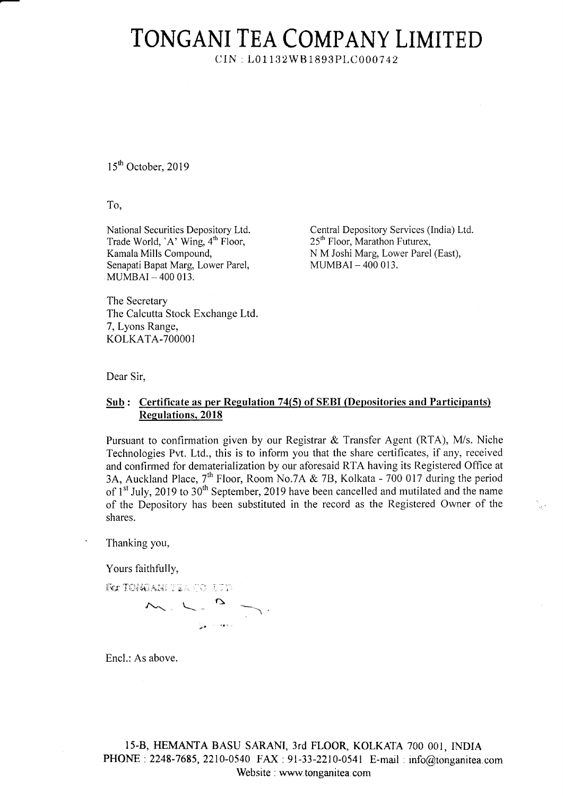## TONGANI TEA COMPANY LIMITED

 $CIN: L01132WB1893PLC000742$ 

15<sup>th</sup> October, 2019

To,

National Securities Depository Ltd. Trade World, 'A' Wing,  $4<sup>th</sup>$  Floor, Kamala Mills Compound, Senapati Bapat Marg, Lower Parel,  $MUMBAI - 400013$ .

Central Depository Services (India) Ltd. 25<sup>th</sup> Floor, Marathon Futurex, N M Joshi Marg, Lower Parel (East),  $MUMBAI - 400013$ .

The Secretary The Calcutta Stock Exchange Ltd 7, Lyons Range, KOLKATA-7OOOO1

Dear Sir,

## Sub : Certificate as per Regulation 74(5) of SEBI (Depositories and Participants) Regulations, 2018

Pursuant to confirmation given by our Registrar & Transfer Agent (RTA), M/s. Niche Technologies Pvt. Ltd., this is to inform you that the share certificates, if any, received and confirmed for dematerialization by our aforesaid RTA having its Registered Office at 3A, Auckland Place, 7<sup>th</sup> Floor, Room No.7A & 7B, Kolkata - 700 017 during the period of  $1<sup>st</sup>$  July, 2019 to  $30<sup>th</sup>$  September, 2019 have been cancelled and mutilated and the name of the Depository has been substituted in the record as the Registered Owner of the shares.

Thanking you,

Yours faithfully,

 $F$ or $T$ ONG ANI  $T$ ia a  $r$ O. U  $T$   $D$ 

 $M_{\odot}$  L-  $M_{\odot}$ ?, "''

Encl.: As above.